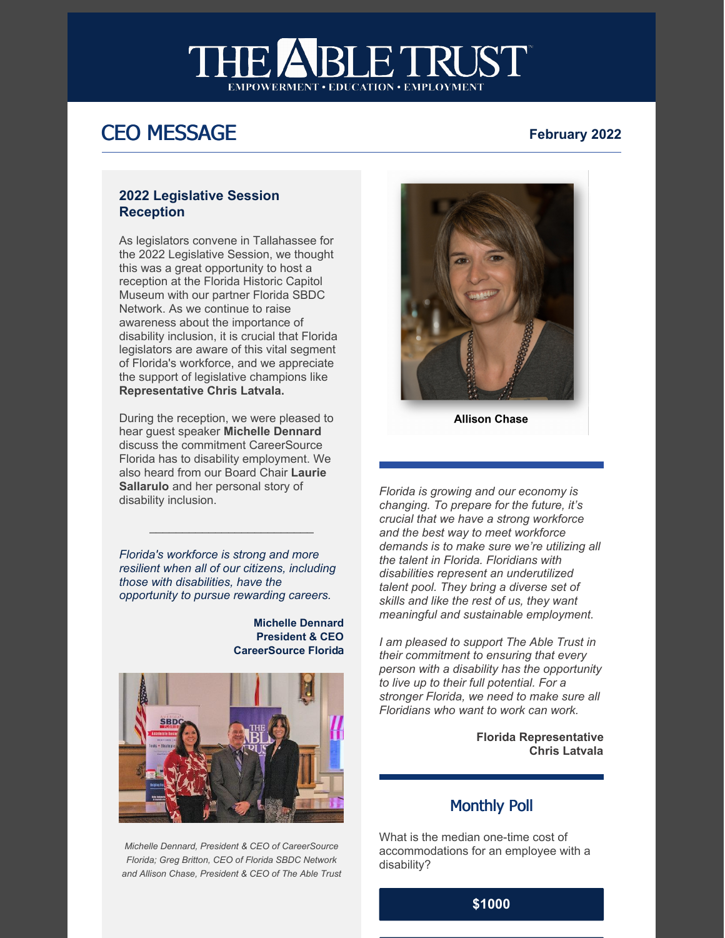# ETRUS<sup>®</sup> **RIA**

# **CEO MESSAGE** February 2022

#### **2022 Legislative Session Reception**

As legislators convene in Tallahassee for the 2022 Legislative Session, we thought this was a great opportunity to host a reception at the Florida Historic Capitol Museum with our partner Florida SBDC Network. As we continue to raise awareness about the importance of disability inclusion, it is crucial that Florida legislators are aware of this vital segment of Florida's workforce, and we appreciate the support of legislative champions like **Representative Chris Latvala.**

During the reception, we were pleased to hear guest speaker **Michelle Dennard** discuss the commitment CareerSource Florida has to disability employment. We also heard from our Board Chair **Laurie Sallarulo** and her personal story of disability inclusion.

*Florida's workforce is strong and more resilient when all of our citizens, including those with disabilities, have the opportunity to pursue rewarding careers.*

 $\mathcal{L}_\text{max}$  , and the set of the set of the set of the set of the set of the set of the set of the set of the set of the set of the set of the set of the set of the set of the set of the set of the set of the set of the

**Michelle Dennard President & CEO CareerSource Florid**a



*Michelle Dennard, President & CEO of CareerSource Florida; Greg Britton, CEO of Florida SBDC Network and Allison Chase, President & CEO of The Able Trust*



**Allison Chase** 

*Florida is growing and our economy is changing. To prepare for the future, it's crucial that we have a strong workforce and the best way to meet workforce demands is to make sure we're utilizing all the talent in Florida. Floridians with disabilities represent an underutilized talent pool. They bring a diverse set of skills and like the rest of us, they want meaningful and sustainable employment.*

*I am pleased to support The Able Trust in their commitment to ensuring that every person with a disability has the opportunity to live up to their full potential. For a stronger Florida, we need to make sure all Floridians who want to work can work.*

> **Florida Representative Chris Latvala**

#### Monthly Poll

What is the median one-time cost of accommodations for an employee with a disability?

#### **[\\$1000](https://campaignlp.constantcontact.com/forms/response?id=a4MI5t9_CTE-vma2Is_Pd5DSBsF8QKdVpkakGNtUanMrltOTkNH7hOIy2g4XqHU0Vg0tuSF8Ob6tMGPzTDpwrvWfPceISxc64Vg5ROq1MLLXbdr_UXL9j9akv14JOQ32cWg96dGg_YaY-6SK7wYGojcaxh7fIOIQazZ9Oj2foltbkx1kGAlIhIlC9EFewAR-uzWk_BooTyXFYMefTsr-aw&encVer=1&c=&ch=)**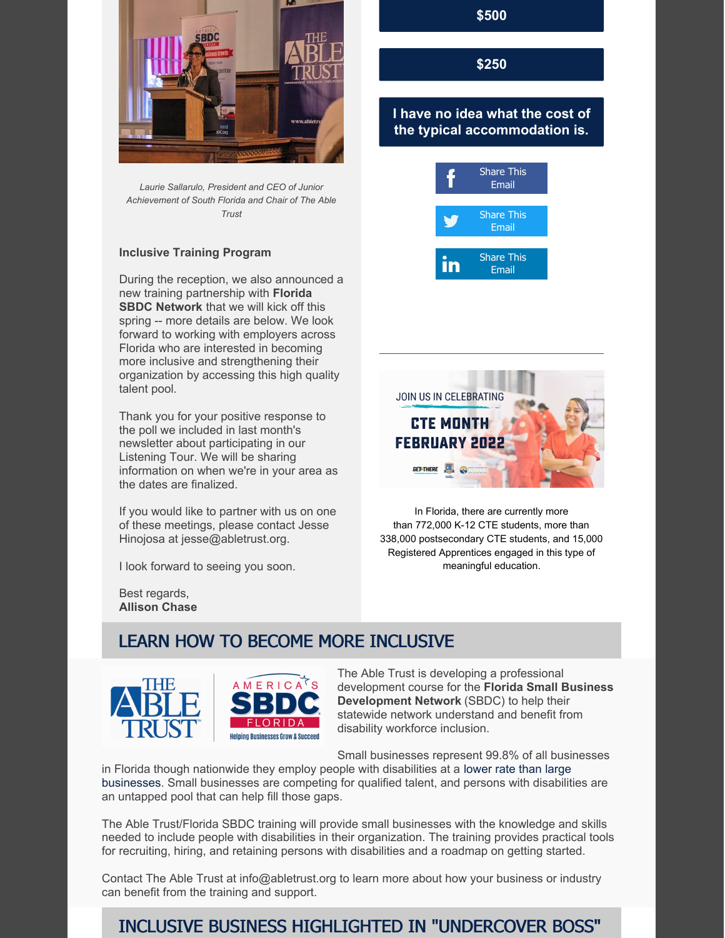

*Laurie Sallarulo, President and CEO of Junior Achievement of South Florida and Chair of The Able Trust*

#### **Inclusive Training Program**

During the reception, we also announced a new training partnership with **Florida SBDC Network** that we will kick off this spring -- more details are below. We look forward to working with employers across Florida who are interested in becoming more inclusive and strengthening their organization by accessing this high quality talent pool.

Thank you for your positive response to the poll we included in last month's newsletter about participating in our Listening Tour. We will be sharing information on when we're in your area as the dates are finalized.

If you would like to partner with us on one of these meetings, please contact Jesse Hinojosa at jesse@abletrust.org.

I look forward to seeing you soon.

Best regards, **Allison Chase** **[\\$500](https://campaignlp.constantcontact.com/forms/response?id=a4MI5t9_CTE-vma2Is_Pd5DSBsF8QKdVpkakGNtUanMrltOTkNH7hOIy2g4XqHU0Vg0tuSF8Ob6tMGPzTDpwrvWfPceISxc64Vg5ROq1MLLXbdr_UXL9j9akv14JOQ32cWg96dGg_YaY-6SK7wYGojcaxh7fIOIQazZ9Oj2foltbkx1kGAlIhIlC9EFewAR-uzWk_BooTyXXN6S9LkQxSg&encVer=1&c=&ch=)**

**[\\$250](https://campaignlp.constantcontact.com/forms/response?id=a4MI5t9_CTE-vma2Is_Pd5DSBsF8QKdVpkakGNtUanMrltOTkNH7hOIy2g4XqHU0Vg0tuSF8Ob6tMGPzTDpwrvWfPceISxc64Vg5ROq1MLLXbdr_UXL9j9akv14JOQ32cWg96dGg_YaY-6SK7wYGojcaxh7fIOIQazZ9Oj2foltbkx1kGAlIhIlC9EFewAR-uzWk_BooTyWrUSvPlZJhEA&encVer=1&c=&ch=)**

#### **I have no idea what the cost of the typical [accommodation](https://campaignlp.constantcontact.com/forms/response?id=a4MI5t9_CTE-vma2Is_Pd5DSBsF8QKdVpkakGNtUanMrltOTkNH7hOIy2g4XqHU0Vg0tuSF8Ob6tMGPzTDpwrvWfPceISxc64Vg5ROq1MLLXbdr_UXL9j9akv14JOQ32cWg96dGg_YaY-6SK7wYGojcaxh7fIOIQazZ9Oj2foltbkx1kGAlIhIlC9EFewAR-uzWk_BooTyUTQGQFfhqn8g&encVer=1&c=&ch=) is.**





In Florida, there are currently more than 772,000 K-12 CTE students, more than 338,000 postsecondary CTE students, and 15,000 Registered Apprentices engaged in this type of meaningful education.

# LEARN HOW TO BECOME MORE INCLUSIVE



The Able Trust is developing a professional development course for the **Florida Small Business Development Network** (SBDC) to help their statewide network understand and benefit from disability workforce inclusion.

Small businesses represent 99.8% of all businesses

in Florida though nationwide they employ people with disabilities at a lower rate than large [businesses.](https://www.disabilitytalent.org/single-post/2019/05/15/should-small-businesses-hire-people-with-disabilities-fears-myths-advantages) Small businesses are competing for qualified talent, and persons with disabilities are an untapped pool that can help fill those gaps.

The Able Trust/Florida SBDC training will provide small businesses with the knowledge and skills needed to include people with disabilities in their organization. The training provides practical tools for recruiting, hiring, and retaining persons with disabilities and a roadmap on getting started.

Contact The Able Trust at info@abletrust.org to learn more about how your business or industry can benefit from the training and support.

# INCLUSIVE BUSINESS HIGHLIGHTED IN "UNDERCOVER BOSS"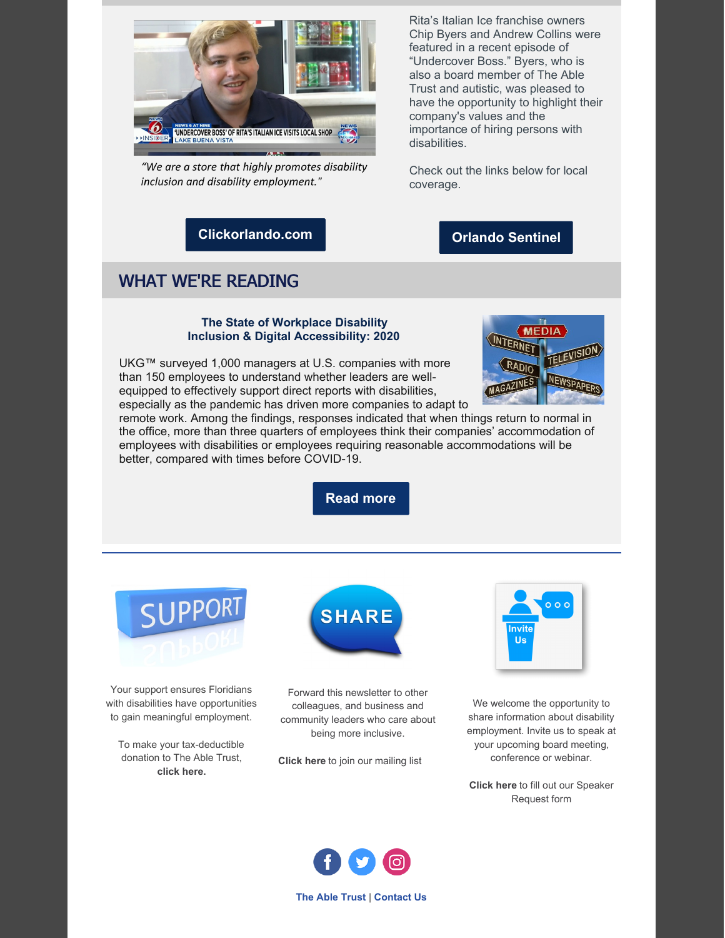

"We are a store that highly promotes disability inclusion and disability employment."

Rita's Italian Ice franchise owners Chip Byers and Andrew Collins were featured in a recent episode of "Undercover Boss." Byers, who is also a board member of The Able Trust and autistic, was pleased to have the opportunity to highlight their company's values and the importance of hiring persons with disabilities.

Check out the links below for local coverage.

#### **[Orlando](https://www.orlandosentinel.com/entertainment/tv/os-et-ritas-undercover-boss-episode-lake-buena-vista-20220127-gpjsi6zuobedtp4jrvnyrnlvga-story.html) Sentinel**

## **[Clickorlando.com](https://www.clickorlando.com/video/news-6-at-nine/2022/01/28/undercover-boss-of-ritas-italian-ice-visits-local-shop/)**

### WHAT WE'RE READING

#### **The State of Workplace Disability Inclusion & Digital Accessibility: 2020**

UKG™ surveyed 1,000 managers at U.S. companies with more than 150 employees to understand whether leaders are wellequipped to effectively support direct reports with disabilities, especially as the pandemic has driven more companies to adapt to



remote work. Among the findings, responses indicated that when things return to normal in the office, more than three quarters of employees think their companies' accommodation of employees with disabilities or employees requiring reasonable accommodations will be better, compared with times before COVID-19.

**[Read](https://www.ukg.com/sites/default/files/media/files/Digital Accessibility Study-FINAL.pdf) more**



Your support ensures Floridians with disabilities have opportunities to gain meaningful employment.

To make your tax-deductible donation to The Able Trust, **click [here.](https://r20.rs6.net/tn.jsp?f=001Dm7UNsoCIJ-JmHidmpprKt-PwvQkTE4wBZefk7gpwnadaCV9wpdOJ9OgB13I6oV1MXLEoPriN0yib2Bhwh9tYtDy2LMKZK6dMrH_BIkD57yvF_bBxFfwIXhmDUEEINwwhCZBvH_CAJJUwQa7X1sINI_Sgo67onnXYxaXtxFIpSbzssADJdMLZSAqj22XVxPWsSWerNXj6_UJrkZym99FVx2tfCR6l-7j&c=3l2OZ-A9Jo7Msbjxs1qtmlaxcnj-SCCIQX0PGsNul1Vqy_A9MOk1ow==&ch=H-NTIuH_EbGgAifdtvg8fIyJCCq6oInNt4gWhjs694C1IbGfym6soA==)**



Forward this newsletter to other colleagues, and business and community leaders who care about being more inclusive.

**[Click](https://r20.rs6.net/tn.jsp?f=001Dm7UNsoCIJ-JmHidmpprKt-PwvQkTE4wBZefk7gpwnadaCV9wpdOJ-c3y2A7AicWEOHkvC_mV6QN0YpkoDHdSX1kJ96AjRwnBMQ-fQHeo4gh1TLajesuGMLKjq6xOyBnxPkDJwwkdOvNUzt0YmA3ecYTKxidUPhMKEP6K4nrESB5dcepws3CIjW0g89PL39dj8H5mq7GnJVFFsiM7cfTkl8fDgltFQmPD-8e8Gax3fx7MYZULPe-MjryEggf18o-FVcq1nwTa6o=&c=3l2OZ-A9Jo7Msbjxs1qtmlaxcnj-SCCIQX0PGsNul1Vqy_A9MOk1ow==&ch=H-NTIuH_EbGgAifdtvg8fIyJCCq6oInNt4gWhjs694C1IbGfym6soA==) here** to join our mailing list



We welcome the opportunity to share information about disability employment. Invite us to speak at your upcoming board meeting, conference or webinar.

**[Click](https://r20.rs6.net/tn.jsp?f=001Dm7UNsoCIJ-JmHidmpprKt-PwvQkTE4wBZefk7gpwnadaCV9wpdOJ-c3y2A7AicW0CS-4K-pi5p9uxAppJgR0DVO-FCgdFo136-ofYx1s-gNBNXa_x4AFPkMAD4WxfFLd0hrJ1vD09kAk9KpZIqgj2-r4oZUIF7ckvKL_nnv4os=&c=3l2OZ-A9Jo7Msbjxs1qtmlaxcnj-SCCIQX0PGsNul1Vqy_A9MOk1ow==&ch=H-NTIuH_EbGgAifdtvg8fIyJCCq6oInNt4gWhjs694C1IbGfym6soA==) here** to fill out our Speaker Request form